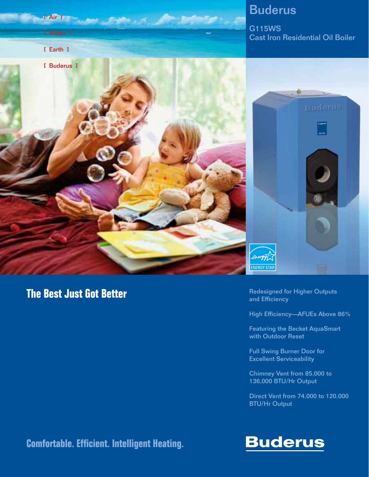

## **The Best Just Got Better**

Redesigned for Higher Outputs and Efficiency

High Efficiency—AFUEs Above 86%

Featuring the Becket AquaSmart with Outdoor Reset

Full Swing Burner Door for Excellent Serviceability

Chimney Vent from 85,000 to 136,000 BTU/Hr Output

Direct Vent from 74,000 to 120,000 BTU/Hr Output

## **Comfortable. Efficient. Intelligent Heating.**

# **Buderus**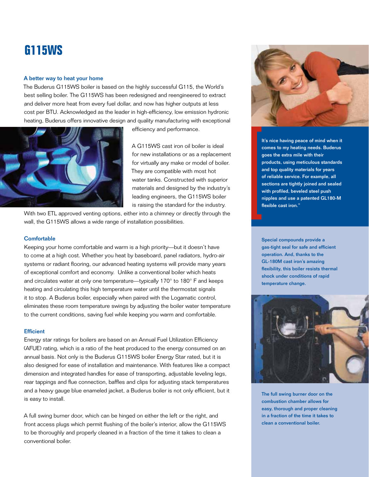# **G115WS**

#### A better way to heat your home

The Buderus G115WS boiler is based on the highly successful G115, the World's best selling boiler. The G115WS has been redesigned and reengineered to extract and deliver more heat from every fuel dollar, and now has higher outputs at less cost per BTU. Acknowledged as the leader in high-efficiency, low emission hydronic heating, Buderus offers innovative design and quality manufacturing with exceptional



efficiency and performance.

A G115WS cast iron oil boiler is ideal for new installations or as a replacement for virtually any make or model of boiler. They are compatible with most hot water tanks. Constructed with superior materials and designed by the industry's leading engineers, the G115WS boiler is raising the standard for the industry.

With two ETL approved venting options, either into a chimney or directly through the wall, the G115WS allows a wide range of installation possibilities.

#### **Comfortable**

Keeping your home comfortable and warm is a high priority—but it doesn't have to come at a high cost. Whether you heat by baseboard, panel radiators, hydro-air systems or radiant flooring, our advanced heating systems will provide many years of exceptional comfort and economy. Unlike a conventional boiler which heats and circulates water at only one temperature—typically 170° to 180° F and keeps heating and circulating this high temperature water until the thermostat signals it to stop. A Buderus boiler, especially when paired with the Logamatic control, eliminates these room temperature swings by adjusting the boiler water temperature to the current conditions, saving fuel while keeping you warm and comfortable.

#### **Efficient**

Energy star ratings for boilers are based on an Annual Fuel Utilization Efficiency (AFUE) rating, which is a ratio of the heat produced to the energy consumed on an annual basis. Not only is the Buderus G115WS boiler Energy Star rated, but it is also designed for ease of installation and maintenance. With features like a compact dimension and integrated handles for ease of transporting, adjustable leveling legs, rear tappings and flue connection, baffles and clips for adjusting stack temperatures and a heavy gauge blue enameled jacket, a Buderus boiler is not only efficient, but it is easy to install.

A full swing burner door, which can be hinged on either the left or the right, and front access plugs which permit flushing of the boiler's interior, allow the G115WS to be thoroughly and properly cleaned in a fraction of the time it takes to clean a conventional boiler.

![](_page_1_Picture_12.jpeg)

It's nice having peace of mind when it comes to my heating needs. Buderus goes the extra mile with their products, using meticulous standards and top quality materials for years of reliable service. For example, all sections are tightly joined and sealed with profiled, beveled steel push nipples and use a patented GL180-M flexible cast iron."

Special compounds provide a gas-tight seal for safe and efficient operation. And, thanks to the GL-180M cast iron's amazing flexibility, this boiler resists thermal shock under conditions of rapid temperature change.

![](_page_1_Picture_15.jpeg)

The full swing burner door on the combustion chamber allows for easy, thorough and proper cleaning in a fraction of the time it takes to clean a conventional boiler.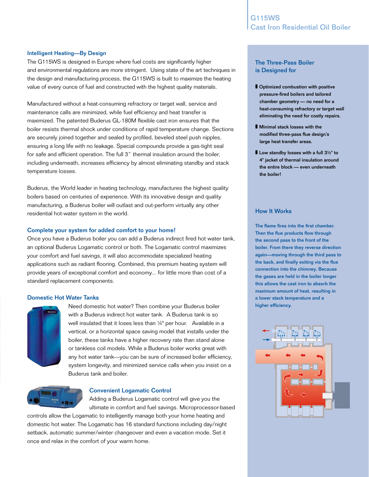#### Intelligent Heating—By Design

The G115WS is designed in Europe where fuel costs are significantly higher and environmental regulations are more stringent. Using state of the art techniques in the design and manufacturing process, the G115WS is built to maximize the heating value of every ounce of fuel and constructed with the highest quality materials.

Manufactured without a heat-consuming refractory or target wall, service and maintenance calls are minimized, while fuel efficiency and heat transfer is maximized. The patented Buderus GL-180M flexible cast iron ensures that the boiler resists thermal shock under conditions of rapid temperature change. Sections are securely joined together and sealed by profiled, beveled steel push nipples, ensuring a long life with no leakage. Special compounds provide a gas-tight seal for safe and efficient operation. The full 3" thermal insulation around the boiler, including underneath, increases efficiency by almost eliminating standby and stack temperature losses.

Buderus, the World leader in heating technology, manufactures the highest quality boilers based on centuries of experience. With its innovative design and quality manufacturing, a Buderus boiler will outlast and out-perform virtually any other residential hot-water system in the world.

#### Complete your system for added comfort to your home!

Once you have a Buderus boiler you can add a Buderus indirect fired hot water tank, an optional Buderus Logamatic control or both. The Logamatic control maximizes your comfort and fuel savings, it will also accommodate specialized heating applications such as radiant flooring. Combined, this premium heating system will provide years of exceptional comfort and economy... for little more than cost of a standard replacement components.

#### Domestic Hot Water Tanks

![](_page_2_Picture_8.jpeg)

Need domestic hot water? Then combine your Buderus boiler with a Buderus indirect hot water tank. A Buderus tank is so well insulated that it loses less than 1/4° per hour. Available in a vertical, or a horizontal space saving model that installs under the boiler, these tanks have a higher recovery rate than stand alone or tankless coil models. While a Buderus boiler works great with any hot water tank—you can be sure of increased boiler efficiency, system longevity, and minimized service calls when you insist on a Buderus tank and boiler.

![](_page_2_Picture_10.jpeg)

#### Convenient Logamatic Control

Adding a Buderus Logamatic control will give you the ultimate in comfort and fuel savings. Microprocessor-based

controls allow the Logamatic to intelligently manage both your home heating and domestic hot water. The Logamatic has 16 standard functions including day/night setback, automatic summer/winter changeover and even a vacation mode. Set it once and relax in the comfort of your warm home.

### The Three-Pass Boiler is Designed for

- Optimized combustion with positive pressure-fired boilers and tailored chamber geometry — no need for a heat-consuming refractory or target wall eliminating the need for costly repairs.
- Minimal stack losses with the modified three-pass flue design's large heat transfer areas.
- Low standby losses with a full 3½" to 4" jacket of thermal insulation around the entire block — even underneath the boiler!

#### How It Works

The flame fires into the first chamber. Then the flue products flow through the second pass to the front of the boiler. From there they reverse direction again—moving through the third pass to the back, and finally exiting via the flue connection into the chimney. Because the gases are held in the boiler longer this allows the cast iron to absorb the maximum amount of heat, resulting in a lower stack temperature and a higher efficiency.

![](_page_2_Figure_20.jpeg)